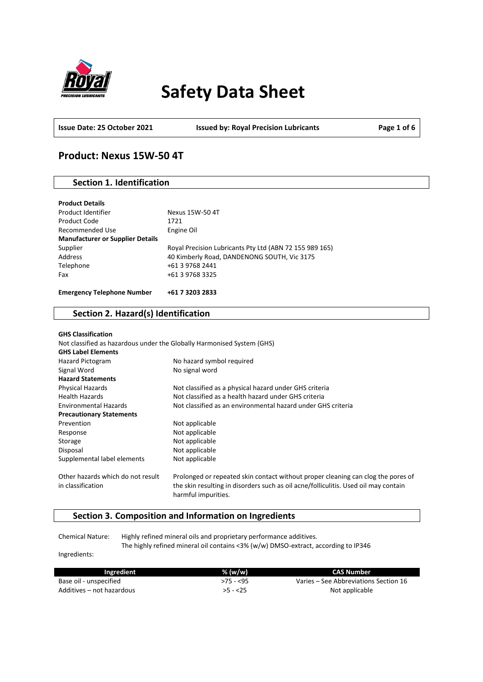

# **Safety Data Sheet**

**Issue Date: 25 October 2021 Issued by: Royal Precision Lubricants Page 1 of 6**

### **Product: Nexus 15W-50 4T**

### **Section 1. Identification**

| <b>Product Details</b><br>Product Identifier | Nexus 15W-50 4T                                         |
|----------------------------------------------|---------------------------------------------------------|
|                                              |                                                         |
| Product Code                                 | 1721                                                    |
| Recommended Use                              | Engine Oil                                              |
| <b>Manufacturer or Supplier Details</b>      |                                                         |
| Supplier                                     | Royal Precision Lubricants Pty Ltd (ABN 72 155 989 165) |
| Address                                      | 40 Kimberly Road, DANDENONG SOUTH, Vic 3175             |
| Telephone                                    | +61 3 9768 2441                                         |
| Fax                                          | +61 3 9768 3325                                         |
|                                              |                                                         |
| <b>Emergency Telephone Number</b>            | +61 7 3203 2833                                         |

### **Section 2. Hazard(s) Identification**

| <b>GHS Classification</b>         |                                                                                                            |
|-----------------------------------|------------------------------------------------------------------------------------------------------------|
|                                   | Not classified as hazardous under the Globally Harmonised System (GHS)                                     |
| <b>GHS Label Elements</b>         |                                                                                                            |
| Hazard Pictogram                  | No hazard symbol required                                                                                  |
| Signal Word                       | No signal word                                                                                             |
| <b>Hazard Statements</b>          |                                                                                                            |
| Physical Hazards                  | Not classified as a physical hazard under GHS criteria                                                     |
| <b>Health Hazards</b>             | Not classified as a health hazard under GHS criteria                                                       |
| <b>Environmental Hazards</b>      | Not classified as an environmental hazard under GHS criteria                                               |
| <b>Precautionary Statements</b>   |                                                                                                            |
| Prevention                        | Not applicable                                                                                             |
| Response                          | Not applicable                                                                                             |
| Storage                           | Not applicable                                                                                             |
| Disposal                          | Not applicable                                                                                             |
| Supplemental label elements       | Not applicable                                                                                             |
| Other hazards which do not result | Prolonged or repeated skin contact without proper cleaning can clog the pores of                           |
| in classification                 | the skin resulting in disorders such as oil acne/folliculitis. Used oil may contain<br>harmful impurities. |

### **Section 3. Composition and Information on Ingredients**

Chemical Nature: Highly refined mineral oils and proprietary performance additives. The highly refined mineral oil contains <3% (w/w) DMSO-extract, according to IP346

Ingredients:

| Ingredient                | % (w/w)    | CAS Number                            |
|---------------------------|------------|---------------------------------------|
| Base oil - unspecified    | $>75 - 55$ | Varies – See Abbreviations Section 16 |
| Additives – not hazardous | $>5 - 25$  | Not applicable                        |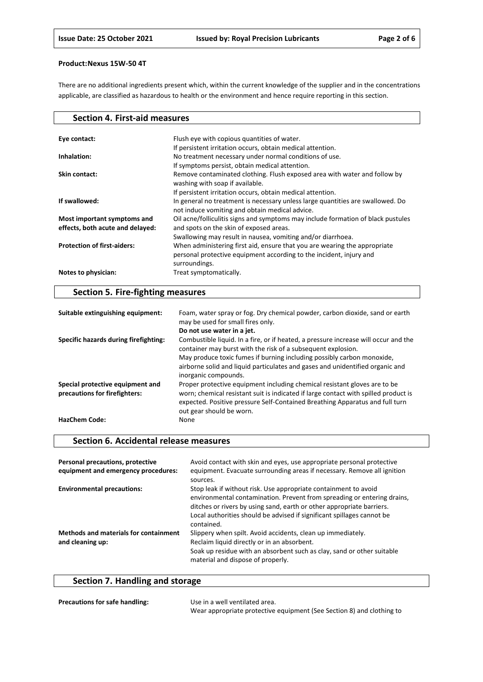There are no additional ingredients present which, within the current knowledge of the supplier and in the concentrations applicable, are classified as hazardous to health or the environment and hence require reporting in this section.

| <b>Section 4. First-aid measures</b>                            |                                                                                                                                                                   |
|-----------------------------------------------------------------|-------------------------------------------------------------------------------------------------------------------------------------------------------------------|
|                                                                 |                                                                                                                                                                   |
| Eye contact:                                                    | Flush eye with copious quantities of water.                                                                                                                       |
|                                                                 | If persistent irritation occurs, obtain medical attention.                                                                                                        |
| Inhalation:                                                     | No treatment necessary under normal conditions of use.                                                                                                            |
|                                                                 | If symptoms persist, obtain medical attention.                                                                                                                    |
| Skin contact:                                                   | Remove contaminated clothing. Flush exposed area with water and follow by<br>washing with soap if available.                                                      |
|                                                                 | If persistent irritation occurs, obtain medical attention.                                                                                                        |
| If swallowed:                                                   | In general no treatment is necessary unless large quantities are swallowed. Do<br>not induce vomiting and obtain medical advice.                                  |
| Most important symptoms and<br>effects, both acute and delayed: | Oil acne/folliculitis signs and symptoms may include formation of black pustules<br>and spots on the skin of exposed areas.                                       |
|                                                                 | Swallowing may result in nausea, vomiting and/or diarrhoea.                                                                                                       |
| <b>Protection of first-aiders:</b>                              | When administering first aid, ensure that you are wearing the appropriate<br>personal protective equipment according to the incident, injury and<br>surroundings. |
| Notes to physician:                                             | Treat symptomatically.                                                                                                                                            |

### **Section 5. Fire-fighting measures**

| Suitable extinguishing equipment:                                 | Foam, water spray or fog. Dry chemical powder, carbon dioxide, sand or earth<br>may be used for small fires only.                                                                                                                                                            |
|-------------------------------------------------------------------|------------------------------------------------------------------------------------------------------------------------------------------------------------------------------------------------------------------------------------------------------------------------------|
|                                                                   | Do not use water in a jet.                                                                                                                                                                                                                                                   |
| Specific hazards during firefighting:                             | Combustible liquid. In a fire, or if heated, a pressure increase will occur and the<br>container may burst with the risk of a subsequent explosion.                                                                                                                          |
|                                                                   | May produce toxic fumes if burning including possibly carbon monoxide,<br>airborne solid and liquid particulates and gases and unidentified organic and<br>inorganic compounds.                                                                                              |
| Special protective equipment and<br>precautions for firefighters: | Proper protective equipment including chemical resistant gloves are to be<br>worn; chemical resistant suit is indicated if large contact with spilled product is<br>expected. Positive pressure Self-Contained Breathing Apparatus and full turn<br>out gear should be worn. |
| <b>HazChem Code:</b>                                              | None                                                                                                                                                                                                                                                                         |

### **Section 6. Accidental release measures**

| Personal precautions, protective<br>equipment and emergency procedures: | Avoid contact with skin and eyes, use appropriate personal protective<br>equipment. Evacuate surrounding areas if necessary. Remove all ignition<br>sources.                                                                                                                                                |
|-------------------------------------------------------------------------|-------------------------------------------------------------------------------------------------------------------------------------------------------------------------------------------------------------------------------------------------------------------------------------------------------------|
| <b>Environmental precautions:</b>                                       | Stop leak if without risk. Use appropriate containment to avoid<br>environmental contamination. Prevent from spreading or entering drains,<br>ditches or rivers by using sand, earth or other appropriate barriers.<br>Local authorities should be advised if significant spillages cannot be<br>contained. |
| <b>Methods and materials for containment</b><br>and cleaning up:        | Slippery when spilt. Avoid accidents, clean up immediately.<br>Reclaim liquid directly or in an absorbent.<br>Soak up residue with an absorbent such as clay, sand or other suitable<br>material and dispose of properly.                                                                                   |

## **Section 7. Handling and storage**

| <b>Precautions for safe handling:</b> | Use in a well ventilated area.                                        |
|---------------------------------------|-----------------------------------------------------------------------|
|                                       | Wear appropriate protective equipment (See Section 8) and clothing to |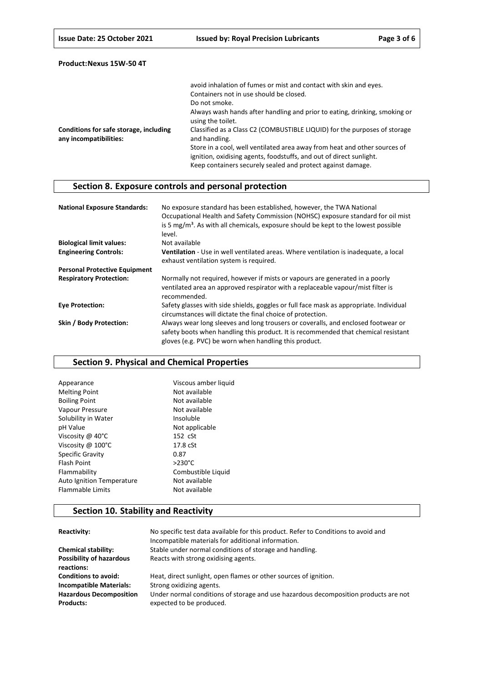|                                                                  | avoid inhalation of fumes or mist and contact with skin and eyes.                                                                                                                                               |
|------------------------------------------------------------------|-----------------------------------------------------------------------------------------------------------------------------------------------------------------------------------------------------------------|
|                                                                  | Containers not in use should be closed.                                                                                                                                                                         |
|                                                                  | Do not smoke.                                                                                                                                                                                                   |
|                                                                  | Always wash hands after handling and prior to eating, drinking, smoking or<br>using the toilet.                                                                                                                 |
| Conditions for safe storage, including<br>any incompatibilities: | Classified as a Class C2 (COMBUSTIBLE LIQUID) for the purposes of storage<br>and handling.                                                                                                                      |
|                                                                  | Store in a cool, well ventilated area away from heat and other sources of<br>ignition, oxidising agents, foodstuffs, and out of direct sunlight.<br>Keep containers securely sealed and protect against damage. |

### **Section 8. Exposure controls and personal protection**

| <b>National Exposure Standards:</b>  | No exposure standard has been established, however, the TWA National<br>Occupational Health and Safety Commission (NOHSC) exposure standard for oil mist<br>is 5 $mg/m3$ . As with all chemicals, exposure should be kept to the lowest possible<br>level. |
|--------------------------------------|------------------------------------------------------------------------------------------------------------------------------------------------------------------------------------------------------------------------------------------------------------|
| <b>Biological limit values:</b>      | Not available                                                                                                                                                                                                                                              |
| <b>Engineering Controls:</b>         | <b>Ventilation</b> - Use in well ventilated areas. Where ventilation is inadequate, a local<br>exhaust ventilation system is required.                                                                                                                     |
| <b>Personal Protective Equipment</b> |                                                                                                                                                                                                                                                            |
| <b>Respiratory Protection:</b>       | Normally not required, however if mists or vapours are generated in a poorly<br>ventilated area an approved respirator with a replaceable vapour/mist filter is<br>recommended.                                                                            |
| <b>Eye Protection:</b>               | Safety glasses with side shields, goggles or full face mask as appropriate. Individual<br>circumstances will dictate the final choice of protection.                                                                                                       |
| Skin / Body Protection:              | Always wear long sleeves and long trousers or coveralls, and enclosed footwear or<br>safety boots when handling this product. It is recommended that chemical resistant<br>gloves (e.g. PVC) be worn when handling this product.                           |

### **Section 9. Physical and Chemical Properties**

| Viscous amber liquid |
|----------------------|
| Not available        |
| Not available        |
| Not available        |
| Insoluble            |
| Not applicable       |
| 152 cSt              |
| 17.8 cSt             |
| 0.87                 |
| $>230^{\circ}$ C     |
| Combustible Liquid   |
| Not available        |
| Not available        |
|                      |

### **Section 10. Stability and Reactivity**

| Reactivity:                                   | No specific test data available for this product. Refer to Conditions to avoid and<br>Incompatible materials for additional information. |
|-----------------------------------------------|------------------------------------------------------------------------------------------------------------------------------------------|
| <b>Chemical stability:</b>                    | Stable under normal conditions of storage and handling.                                                                                  |
| <b>Possibility of hazardous</b><br>reactions: | Reacts with strong oxidising agents.                                                                                                     |
|                                               |                                                                                                                                          |
| <b>Conditions to avoid:</b>                   | Heat, direct sunlight, open flames or other sources of ignition.                                                                         |
| <b>Incompatible Materials:</b>                | Strong oxidizing agents.                                                                                                                 |
| <b>Hazardous Decomposition</b>                | Under normal conditions of storage and use hazardous decomposition products are not                                                      |
| <b>Products:</b>                              | expected to be produced.                                                                                                                 |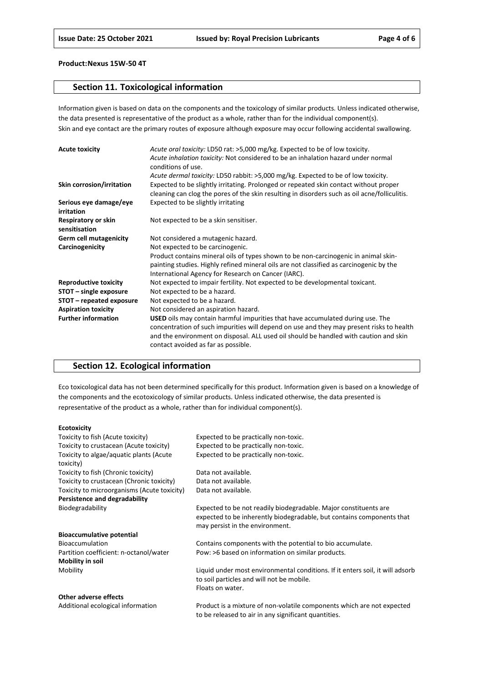### **Section 11. Toxicological information**

Information given is based on data on the components and the toxicology of similar products. Unless indicated otherwise, the data presented is representative of the product as a whole, rather than for the individual component(s). Skin and eye contact are the primary routes of exposure although exposure may occur following accidental swallowing.

| <b>Acute toxicity</b>                | Acute oral toxicity: LD50 rat: >5,000 mg/kg. Expected to be of low toxicity.<br>Acute inhalation toxicity: Not considered to be an inhalation hazard under normal<br>conditions of use.                                                                                                                           |
|--------------------------------------|-------------------------------------------------------------------------------------------------------------------------------------------------------------------------------------------------------------------------------------------------------------------------------------------------------------------|
|                                      | Acute dermal toxicity: LD50 rabbit: >5,000 mg/kg. Expected to be of low toxicity.                                                                                                                                                                                                                                 |
| Skin corrosion/irritation            | Expected to be slightly irritating. Prolonged or repeated skin contact without proper<br>cleaning can clog the pores of the skin resulting in disorders such as oil acne/folliculitis.                                                                                                                            |
| Serious eye damage/eye<br>irritation | Expected to be slightly irritating                                                                                                                                                                                                                                                                                |
| Respiratory or skin<br>sensitisation | Not expected to be a skin sensitiser.                                                                                                                                                                                                                                                                             |
| <b>Germ cell mutagenicity</b>        | Not considered a mutagenic hazard.                                                                                                                                                                                                                                                                                |
| Carcinogenicity                      | Not expected to be carcinogenic.                                                                                                                                                                                                                                                                                  |
|                                      | Product contains mineral oils of types shown to be non-carcinogenic in animal skin-<br>painting studies. Highly refined mineral oils are not classified as carcinogenic by the<br>International Agency for Research on Cancer (IARC).                                                                             |
| <b>Reproductive toxicity</b>         | Not expected to impair fertility. Not expected to be developmental toxicant.                                                                                                                                                                                                                                      |
| STOT - single exposure               | Not expected to be a hazard.                                                                                                                                                                                                                                                                                      |
| STOT – repeated exposure             | Not expected to be a hazard.                                                                                                                                                                                                                                                                                      |
| <b>Aspiration toxicity</b>           | Not considered an aspiration hazard.                                                                                                                                                                                                                                                                              |
| <b>Further information</b>           | <b>USED</b> oils may contain harmful impurities that have accumulated during use. The<br>concentration of such impurities will depend on use and they may present risks to health<br>and the environment on disposal. ALL used oil should be handled with caution and skin<br>contact avoided as far as possible. |

### **Section 12. Ecological information**

Eco toxicological data has not been determined specifically for this product. Information given is based on a knowledge of the components and the ecotoxicology of similar products. Unless indicated otherwise, the data presented is representative of the product as a whole, rather than for individual component(s).

#### **Ecotoxicity**

| Toxicity to fish (Acute toxicity)           | Expected to be practically non-toxic.                                         |
|---------------------------------------------|-------------------------------------------------------------------------------|
| Toxicity to crustacean (Acute toxicity)     | Expected to be practically non-toxic.                                         |
| Toxicity to algae/aquatic plants (Acute     | Expected to be practically non-toxic.                                         |
| toxicity)                                   |                                                                               |
| Toxicity to fish (Chronic toxicity)         | Data not available.                                                           |
| Toxicity to crustacean (Chronic toxicity)   | Data not available.                                                           |
| Toxicity to microorganisms (Acute toxicity) | Data not available.                                                           |
| Persistence and degradability               |                                                                               |
| Biodegradability                            | Expected to be not readily biodegradable. Major constituents are              |
|                                             | expected to be inherently biodegradable, but contains components that         |
|                                             | may persist in the environment.                                               |
| <b>Bioaccumulative potential</b>            |                                                                               |
| <b>Bioaccumulation</b>                      | Contains components with the potential to bio accumulate.                     |
| Partition coefficient: n-octanol/water      | Pow: >6 based on information on similar products.                             |
| <b>Mobility in soil</b>                     |                                                                               |
| Mobility                                    | Liquid under most environmental conditions. If it enters soil, it will adsorb |
|                                             | to soil particles and will not be mobile.                                     |
|                                             | Floats on water.                                                              |
| Other adverse effects                       |                                                                               |
| Additional ecological information           | Product is a mixture of non-volatile components which are not expected        |

to be released to air in any significant quantities.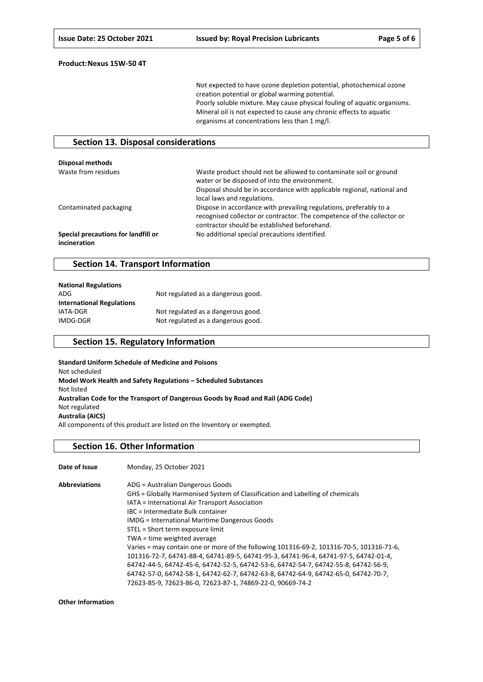Not expected to have ozone depletion potential, photochemical ozone creation potential or global warming potential. Poorly soluble mixture. May cause physical fouling of aquatic organisms. Mineral oil is not expected to cause any chronic effects to aquatic organisms at concentrations less than 1 mg/l.

### **Section 13. Disposal considerations**

| <b>Disposal methods</b>                             |                                                                                                                                                                                                                              |
|-----------------------------------------------------|------------------------------------------------------------------------------------------------------------------------------------------------------------------------------------------------------------------------------|
| Waste from residues                                 | Waste product should not be allowed to contaminate soil or ground<br>water or be disposed of into the environment.<br>Disposal should be in accordance with applicable regional, national and<br>local laws and regulations. |
| Contaminated packaging                              | Dispose in accordance with prevailing regulations, preferably to a<br>recognised collector or contractor. The competence of the collector or<br>contractor should be established beforehand.                                 |
| Special precautions for landfill or<br>incineration | No additional special precautions identified.                                                                                                                                                                                |

### **Section 14. Transport Information**

| <b>National Regulations</b>      |                                    |
|----------------------------------|------------------------------------|
| ADG                              | Not regulated as a dangerous good. |
| <b>International Regulations</b> |                                    |
| IATA-DGR                         | Not regulated as a dangerous good. |
| IMDG-DGR                         | Not regulated as a dangerous good. |

### **Section 15. Regulatory Information**

**Standard Uniform Schedule of Medicine and Poisons** Not scheduled **Model Work Health and Safety Regulations – Scheduled Substances** Not listed **Australian Code for the Transport of Dangerous Goods by Road and Rail (ADG Code)** Not regulated **Australia (AICS)** All components of this product are listed on the Inventory or exempted.

#### **Section 16. Other Information**

| Date of Issue        | Monday, 25 October 2021                                                                  |
|----------------------|------------------------------------------------------------------------------------------|
| <b>Abbreviations</b> | ADG = Australian Dangerous Goods                                                         |
|                      | GHS = Globally Harmonised System of Classification and Labelling of chemicals            |
|                      | IATA = International Air Transport Association                                           |
|                      | IBC = Intermediate Bulk container                                                        |
|                      | <b>IMDG</b> = International Maritime Dangerous Goods                                     |
|                      | STEL = Short term exposure limit                                                         |
|                      | TWA = time weighted average                                                              |
|                      | Varies = may contain one or more of the following 101316-69-2, 101316-70-5, 101316-71-6, |
|                      | 101316-72-7, 64741-88-4, 64741-89-5, 64741-95-3, 64741-96-4, 64741-97-5, 64742-01-4,     |
|                      | 64742-44-5, 64742-45-6, 64742-52-5, 64742-53-6, 64742-54-7, 64742-55-8, 64742-56-9,      |
|                      | 64742-57-0, 64742-58-1, 64742-62-7, 64742-63-8, 64742-64-9, 64742-65-0, 64742-70-7,      |
|                      | 72623-85-9, 72623-86-0, 72623-87-1, 74869-22-0, 90669-74-2                               |

**Other Information**